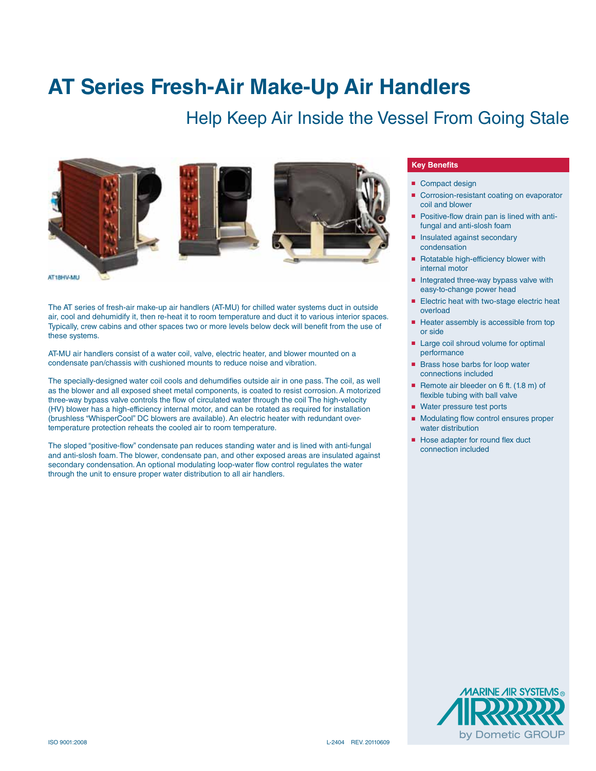### **AT Series Fresh-Air Make-Up Air Handlers**

### Help Keep Air Inside the Vessel From Going Stale



AT18HV-MU

The AT series of fresh-air make-up air handlers (AT-MU) for chilled water systems duct in outside air, cool and dehumidify it, then re-heat it to room temperature and duct it to various interior spaces. Typically, crew cabins and other spaces two or more levels below deck will benefit from the use of these systems.

AT-MU air handlers consist of a water coil, valve, electric heater, and blower mounted on a condensate pan/chassis with cushioned mounts to reduce noise and vibration.

The specially-designed water coil cools and dehumdifies outside air in one pass. The coil, as well as the blower and all exposed sheet metal components, is coated to resist corrosion. A motorized three-way bypass valve controls the flow of circulated water through the coil The high-velocity (HV) blower has a high-efficiency internal motor, and can be rotated as required for installation (brushless "WhisperCool" DC blowers are available). An electric heater with redundant overtemperature protection reheats the cooled air to room temperature.

The sloped "positive-flow" condensate pan reduces standing water and is lined with anti-fungal and anti-slosh foam. The blower, condensate pan, and other exposed areas are insulated against secondary condensation. An optional modulating loop-water flow control regulates the water through the unit to ensure proper water distribution to all air handlers.

#### **Key Benefits**

- Compact design
- Corrosion-resistant coating on evaporator coil and blower
- Positive-flow drain pan is lined with antifungal and anti-slosh foam
- Insulated against secondary condensation
- Rotatable high-efficiency blower with internal motor
- Integrated three-way bypass valve with easy-to-change power head
- Electric heat with two-stage electric heat overload
- Heater assembly is accessible from top or side
- Large coil shroud volume for optimal performance
- Brass hose barbs for loop water connections included
- Remote air bleeder on 6 ft. (1.8 m) of flexible tubing with ball valve
- Water pressure test ports
- Modulating flow control ensures proper water distribution
- Hose adapter for round flex duct connection included